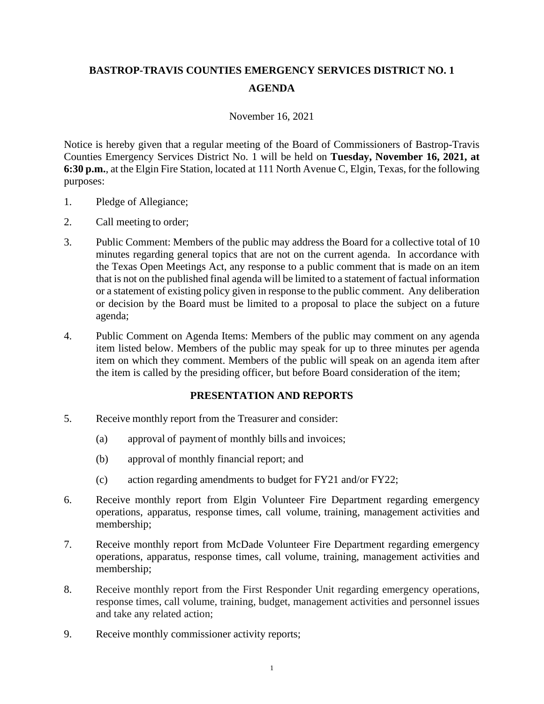## **BASTROP-TRAVIS COUNTIES EMERGENCY SERVICES DISTRICT NO. 1 AGENDA**

## November 16, 2021

Notice is hereby given that a regular meeting of the Board of Commissioners of Bastrop-Travis Counties Emergency Services District No. 1 will be held on **Tuesday, November 16, 2021, at 6:30 p.m.**, at the Elgin Fire Station, located at 111 North Avenue C, Elgin, Texas, for the following purposes:

- 1. Pledge of Allegiance;
- 2. Call meeting to order;
- 3. Public Comment: Members of the public may address the Board for a collective total of 10 minutes regarding general topics that are not on the current agenda. In accordance with the Texas Open Meetings Act, any response to a public comment that is made on an item that is not on the published final agenda will be limited to a statement of factual information or a statement of existing policy given in response to the public comment. Any deliberation or decision by the Board must be limited to a proposal to place the subject on a future agenda;
- 4. Public Comment on Agenda Items: Members of the public may comment on any agenda item listed below. Members of the public may speak for up to three minutes per agenda item on which they comment. Members of the public will speak on an agenda item after the item is called by the presiding officer, but before Board consideration of the item;

## **PRESENTATION AND REPORTS**

- 5. Receive monthly report from the Treasurer and consider:
	- (a) approval of payment of monthly bills and invoices;
	- (b) approval of monthly financial report; and
	- (c) action regarding amendments to budget for FY21 and/or FY22;
- 6. Receive monthly report from Elgin Volunteer Fire Department regarding emergency operations, apparatus, response times, call volume, training, management activities and membership;
- 7. Receive monthly report from McDade Volunteer Fire Department regarding emergency operations, apparatus, response times, call volume, training, management activities and membership;
- 8. Receive monthly report from the First Responder Unit regarding emergency operations, response times, call volume, training, budget, management activities and personnel issues and take any related action;
- 9. Receive monthly commissioner activity reports;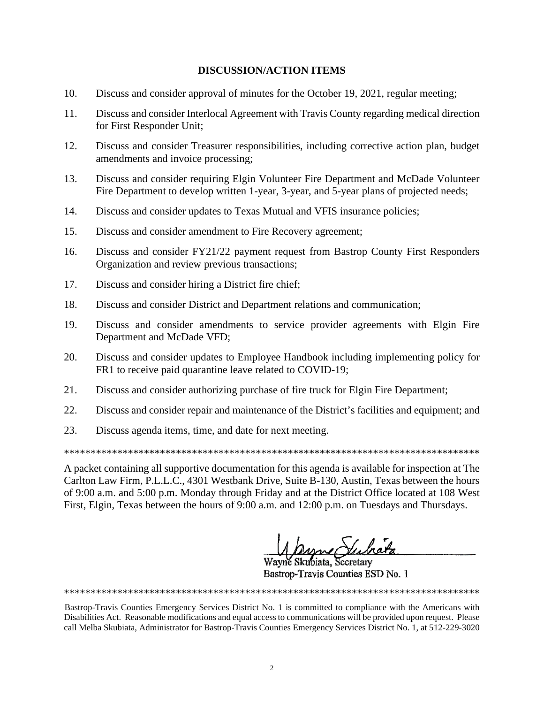## **DISCUSSION/ACTION ITEMS**

- 10. Discuss and consider approval of minutes for the October 19, 2021, regular meeting;
- 11. Discuss and consider Interlocal Agreement with Travis County regarding medical direction for First Responder Unit;
- 12. Discuss and consider Treasurer responsibilities, including corrective action plan, budget amendments and invoice processing;
- 13. Discuss and consider requiring Elgin Volunteer Fire Department and McDade Volunteer Fire Department to develop written 1-year, 3-year, and 5-year plans of projected needs;
- 14. Discuss and consider updates to Texas Mutual and VFIS insurance policies;
- 15. Discuss and consider amendment to Fire Recovery agreement;
- 16. Discuss and consider FY21/22 payment request from Bastrop County First Responders Organization and review previous transactions;
- 17. Discuss and consider hiring a District fire chief;
- 18. Discuss and consider District and Department relations and communication;
- 19. Discuss and consider amendments to service provider agreements with Elgin Fire Department and McDade VFD;
- 20. Discuss and consider updates to Employee Handbook including implementing policy for FR1 to receive paid quarantine leave related to COVID-19;
- 21. Discuss and consider authorizing purchase of fire truck for Elgin Fire Department;
- 22. Discuss and consider repair and maintenance of the District's facilities and equipment; and
- 23. Discuss agenda items, time, and date for next meeting.

\*\*\*\*\*\*\*\*\*\*\*\*\*\*\*\*\*\*\*\*\*\*\*\*\*\*\*\*\*\*\*\*\*\*\*\*\*\*\*\*\*\*\*\*\*\*\*\*\*\*\*\*\*\*\*\*\*\*\*\*\*\*\*\*\*\*\*\*\*\*\*\*\*\*\*\*\*\*

A packet containing all supportive documentation for this agenda is available for inspection at The Carlton Law Firm, P.L.L.C., 4301 Westbank Drive, Suite B-130, Austin, Texas between the hours of 9:00 a.m. and 5:00 p.m. Monday through Friday and at the District Office located at 108 West First, Elgin, Texas between the hours of 9:00 a.m. and 12:00 p.m. on Tuesdays and Thursdays.

Wayne Skubiata, Secretary

Bastrop-Travis Counties ESD No. 1

Bastrop-Travis Counties Emergency Services District No. 1 is committed to compliance with the Americans with Disabilities Act. Reasonable modifications and equal access to communications will be provided upon request. Please call Melba Skubiata, Administrator for Bastrop-Travis Counties Emergency Services District No. 1, at 512-229-3020

\*\*\*\*\*\*\*\*\*\*\*\*\*\*\*\*\*\*\*\*\*\*\*\*\*\*\*\*\*\*\*\*\*\*\*\*\*\*\*\*\*\*\*\*\*\*\*\*\*\*\*\*\*\*\*\*\*\*\*\*\*\*\*\*\*\*\*\*\*\*\*\*\*\*\*\*\*\*